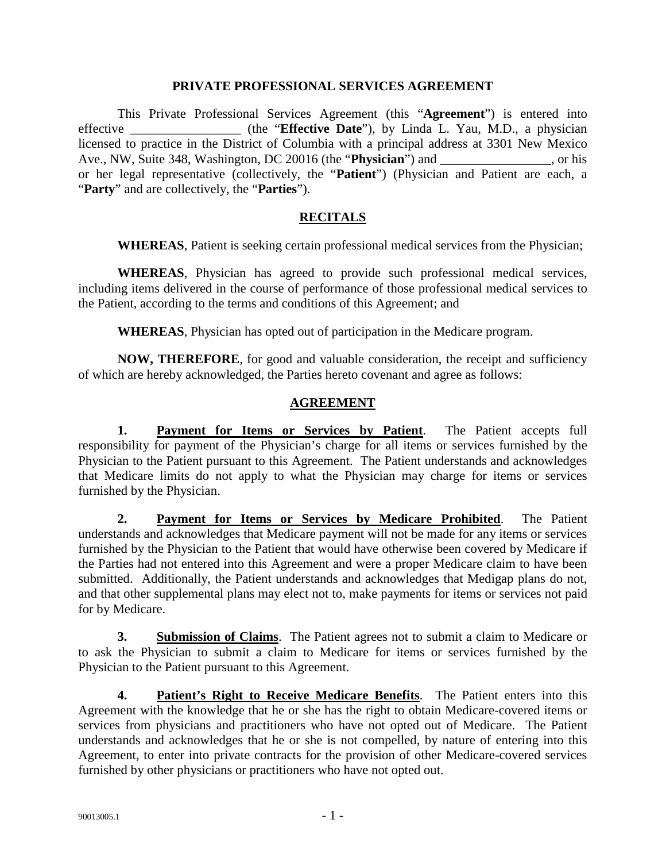#### **PRIVATE PROFESSIONAL SERVICES AGREEMENT**

This Private Professional Services Agreement (this "**Agreement**") is entered into effective \_\_\_\_\_\_\_\_\_\_\_\_\_\_\_\_\_ (the "**Effective Date**"), by Linda L. Yau, M.D., a physician licensed to practice in the District of Columbia with a principal address at 3301 New Mexico Ave., NW, Suite 348, Washington, DC 20016 (the "**Physician**") and \_\_\_\_\_\_\_\_\_, or his or her legal representative (collectively, the "**Patient**") (Physician and Patient are each, a "**Party**" and are collectively, the "**Parties**").

### **RECITALS**

**WHEREAS**, Patient is seeking certain professional medical services from the Physician;

**WHEREAS**, Physician has agreed to provide such professional medical services, including items delivered in the course of performance of those professional medical services to the Patient, according to the terms and conditions of this Agreement; and

**WHEREAS**, Physician has opted out of participation in the Medicare program.

**NOW, THEREFORE**, for good and valuable consideration, the receipt and sufficiency of which are hereby acknowledged, the Parties hereto covenant and agree as follows:

### **AGREEMENT**

**1. Payment for Items or Services by Patient**. The Patient accepts full responsibility for payment of the Physician's charge for all items or services furnished by the Physician to the Patient pursuant to this Agreement. The Patient understands and acknowledges that Medicare limits do not apply to what the Physician may charge for items or services furnished by the Physician.

**2. Payment for Items or Services by Medicare Prohibited**. The Patient understands and acknowledges that Medicare payment will not be made for any items or services furnished by the Physician to the Patient that would have otherwise been covered by Medicare if the Parties had not entered into this Agreement and were a proper Medicare claim to have been submitted. Additionally, the Patient understands and acknowledges that Medigap plans do not, and that other supplemental plans may elect not to, make payments for items or services not paid for by Medicare.

**3. Submission of Claims**. The Patient agrees not to submit a claim to Medicare or to ask the Physician to submit a claim to Medicare for items or services furnished by the Physician to the Patient pursuant to this Agreement.

**4. Patient's Right to Receive Medicare Benefits**. The Patient enters into this Agreement with the knowledge that he or she has the right to obtain Medicare-covered items or services from physicians and practitioners who have not opted out of Medicare. The Patient understands and acknowledges that he or she is not compelled, by nature of entering into this Agreement, to enter into private contracts for the provision of other Medicare-covered services furnished by other physicians or practitioners who have not opted out.